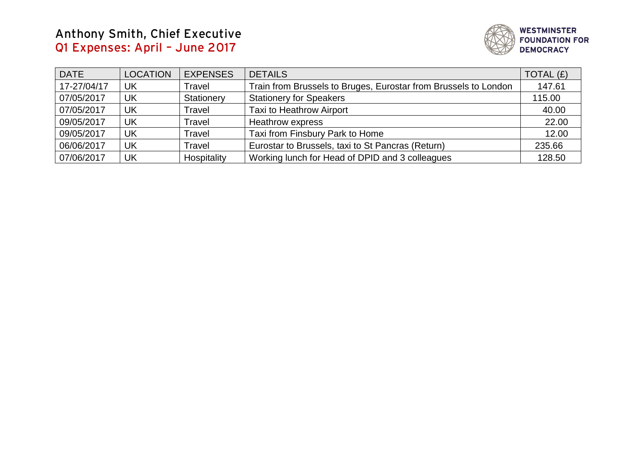## **Anthony Smith, Chief Executive Q1 Expenses: April – June 2017**



| <b>DATE</b> | <b>LOCATION</b> | <b>EXPENSES</b> | <b>DETAILS</b>                                                  | TOTAL $(E)$ |
|-------------|-----------------|-----------------|-----------------------------------------------------------------|-------------|
| 17-27/04/17 | UK              | Travel          | Train from Brussels to Bruges, Eurostar from Brussels to London | 147.61      |
| 07/05/2017  | UK              | Stationery      | <b>Stationery for Speakers</b>                                  | 115.00      |
| 07/05/2017  | UK              | Travel          | <b>Taxi to Heathrow Airport</b>                                 | 40.00       |
| 09/05/2017  | UK              | Travel          | <b>Heathrow express</b>                                         | 22.00       |
| 09/05/2017  | UK              | Travel          | Taxi from Finsbury Park to Home                                 | 12.00       |
| 06/06/2017  | UK              | Travel          | Eurostar to Brussels, taxi to St Pancras (Return)               | 235.66      |
| 07/06/2017  | UK              | Hospitality     | Working lunch for Head of DPID and 3 colleagues                 | 128.50      |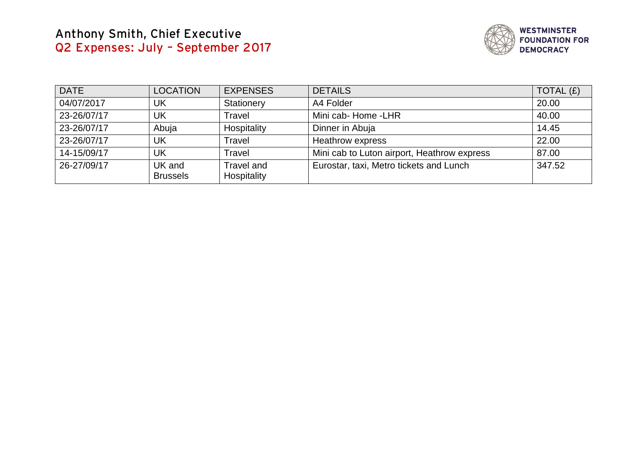## **Anthony Smith, Chief Executive Q2 Expenses: July – September 2017**



| <b>DATE</b> | <b>LOCATION</b>           | <b>EXPENSES</b>           | <b>DETAILS</b>                              | TOTAL $(f)$ |
|-------------|---------------------------|---------------------------|---------------------------------------------|-------------|
| 04/07/2017  | UK                        | Stationery                | A4 Folder                                   | 20.00       |
| 23-26/07/17 | UK                        | Travel                    | Mini cab- Home -LHR                         | 40.00       |
| 23-26/07/17 | Abuja                     | Hospitality               | Dinner in Abuja                             | 14.45       |
| 23-26/07/17 | <b>UK</b>                 | Travel                    | Heathrow express                            | 22.00       |
| 14-15/09/17 | UK                        | Travel                    | Mini cab to Luton airport, Heathrow express | 87.00       |
| 26-27/09/17 | UK and<br><b>Brussels</b> | Travel and<br>Hospitality | Eurostar, taxi, Metro tickets and Lunch     | 347.52      |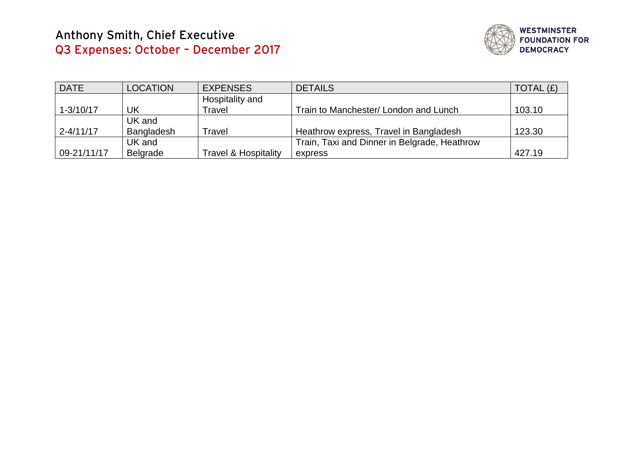

| <b>DATE</b>   | <b>LOCATION</b> | <b>EXPENSES</b>                 | <b>DETAILS</b>                               | TOTAL $(E)$ |
|---------------|-----------------|---------------------------------|----------------------------------------------|-------------|
|               |                 | Hospitality and                 |                                              |             |
| $1 - 3/10/17$ | UK              | Travel                          | Train to Manchester/ London and Lunch        | 103.10      |
|               | UK and          |                                 |                                              |             |
| $2 - 4/11/17$ | Bangladesh      | Travel                          | Heathrow express, Travel in Bangladesh       | 123.30      |
|               | UK and          |                                 | Train, Taxi and Dinner in Belgrade, Heathrow |             |
| 09-21/11/17   | Belgrade        | <b>Travel &amp; Hospitality</b> | express                                      | 427.19      |